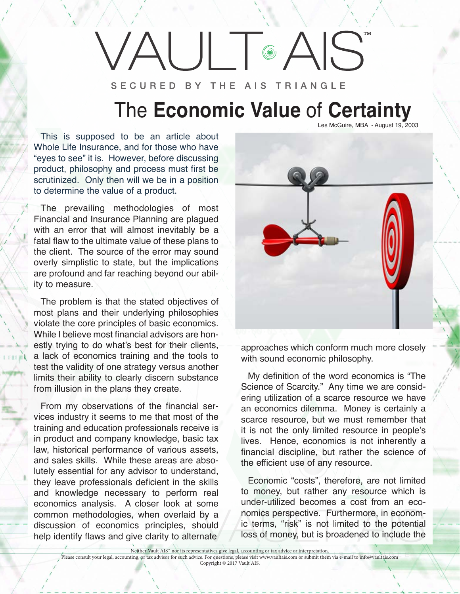## ™ $\circledcirc$ SECURED BY THE AIS TRIANGLE

## The **Economic Value** of **Certainty** Les McGuire, MBA - August 19, 2003

This is supposed to be an article about Whole Life Insurance, and for those who have "eyes to see" it is. However, before discussing product, philosophy and process must first be scrutinized. Only then will we be in a position to determine the value of a product.

The prevailing methodologies of most Financial and Insurance Planning are plagued with an error that will almost inevitably be a fatal flaw to the ultimate value of these plans to the client. The source of the error may sound overly simplistic to state, but the implications are profound and far reaching beyond our ability to measure.

The problem is that the stated objectives of most plans and their underlying philosophies violate the core principles of basic economics. While I believe most financial advisors are honestly trying to do what's best for their clients, a lack of economics training and the tools to test the validity of one strategy versus another limits their ability to clearly discern substance from illusion in the plans they create.

From my observations of the financial services industry it seems to me that most of the training and education professionals receive is in product and company knowledge, basic tax law, historical performance of various assets, and sales skills. While these areas are absolutely essential for any advisor to understand, they leave professionals deficient in the skills and knowledge necessary to perform real economics analysis. A closer look at some common methodologies, when overlaid by a discussion of economics principles, should help identify flaws and give clarity to alternate

approaches which conform much more closely with sound economic philosophy.

My definition of the word economics is "The Science of Scarcity." Any time we are considering utilization of a scarce resource we have an economics dilemma. Money is certainly a scarce resource, but we must remember that it is not the only limited resource in people's lives. Hence, economics is not inherently a financial discipline, but rather the science of the efficient use of any resource.

Economic "costs", therefore, are not limited to money, but rather any resource which is under-utilized becomes a cost from an economics perspective. Furthermore, in economic terms, "risk" is not limited to the potential loss of money, but is broadened to include the

Neither Vault AIS™ nor its representatives give legal, accounting or tax advice or interpretation.

Please consult your legal, accounting, or tax advisor for such advice. For questions, please visit www.vaultais.com or submit them via e-mail to info@vaultais.com

Copyright © 2017 Vault AIS.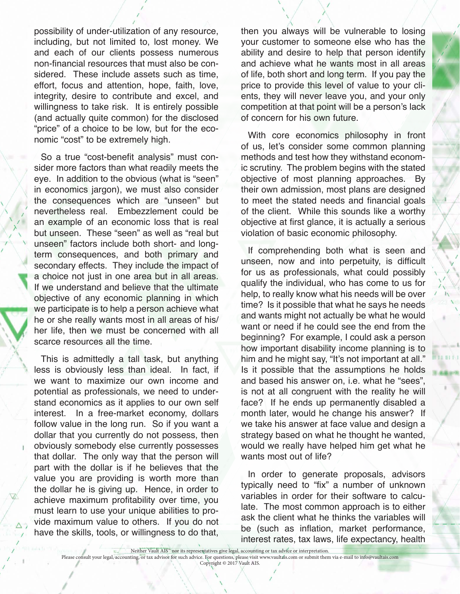possibility of under-utilization of any resource, including, but not limited to, lost money. We and each of our clients possess numerous non-financial resources that must also be considered. These include assets such as time, effort, focus and attention, hope, faith, love, integrity, desire to contribute and excel, and willingness to take risk. It is entirely possible (and actually quite common) for the disclosed "price" of a choice to be low, but for the economic "cost" to be extremely high.

So a true "cost-benefit analysis" must consider more factors than what readily meets the eye. In addition to the obvious (what is "seen" in economics jargon), we must also consider the consequences which are "unseen" but nevertheless real. Embezzlement could be an example of an economic loss that is real but unseen. These "seen" as well as "real but unseen" factors include both short- and longterm consequences, and both primary and secondary effects. They include the impact of a choice not just in one area but in all areas. If we understand and believe that the ultimate objective of any economic planning in which we participate is to help a person achieve what he or she really wants most in all areas of his/ her life, then we must be concerned with all scarce resources all the time.

This is admittedly a tall task, but anything less is obviously less than ideal. In fact, if we want to maximize our own income and potential as professionals, we need to understand economics as it applies to our own self interest. In a free-market economy, dollars follow value in the long run. So if you want a dollar that you currently do not possess, then obviously somebody else currently possesses that dollar. The only way that the person will part with the dollar is if he believes that the value you are providing is worth more than the dollar he is giving up. Hence, in order to achieve maximum profitability over time, you must learn to use your unique abilities to provide maximum value to others. If you do not have the skills, tools, or willingness to do that,

then you always will be vulnerable to losing your customer to someone else who has the ability and desire to help that person identify and achieve what he wants most in all areas of life, both short and long term. If you pay the price to provide this level of value to your clients, they will never leave you, and your only competition at that point will be a person's lack of concern for his own future.

With core economics philosophy in front of us, let's consider some common planning methods and test how they withstand economic scrutiny. The problem begins with the stated objective of most planning approaches. By their own admission, most plans are designed to meet the stated needs and financial goals of the client. While this sounds like a worthy objective at first glance, it is actually a serious violation of basic economic philosophy.

If comprehending both what is seen and unseen, now and into perpetuity, is difficult for us as professionals, what could possibly qualify the individual, who has come to us for help, to really know what his needs will be over time? Is it possible that what he says he needs and wants might not actually be what he would want or need if he could see the end from the beginning? For example, I could ask a person how important disability income planning is to him and he might say, "It's not important at all." Is it possible that the assumptions he holds and based his answer on, i.e. what he "sees", is not at all congruent with the reality he will face? If he ends up permanently disabled a month later, would he change his answer? If we take his answer at face value and design a strategy based on what he thought he wanted, would we really have helped him get what he wants most out of life?

In order to generate proposals, advisors typically need to "fix" a number of unknown variables in order for their software to calculate. The most common approach is to either ask the client what he thinks the variables will be (such as inflation, market performance, interest rates, tax laws, life expectancy, health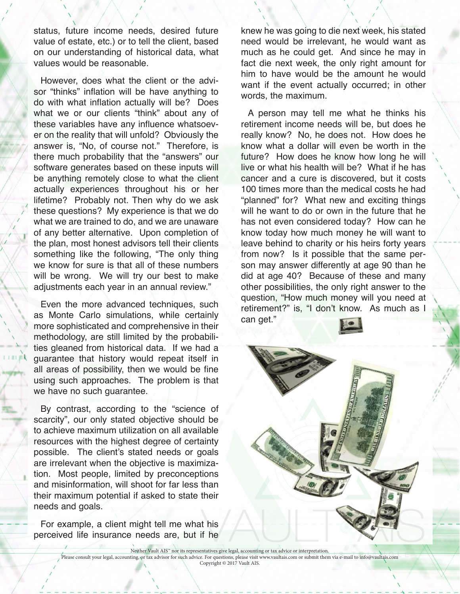status, future income needs, desired future value of estate, etc.) or to tell the client, based on our understanding of historical data, what values would be reasonable.

However, does what the client or the advisor "thinks" inflation will be have anything to do with what inflation actually will be? Does what we or our clients "think" about any of these variables have any influence whatsoever on the reality that will unfold? Obviously the answer is, "No, of course not." Therefore, is there much probability that the "answers" our software generates based on these inputs will be anything remotely close to what the client actually experiences throughout his or her lifetime? Probably not. Then why do we ask these questions? My experience is that we do what we are trained to do, and we are unaware of any better alternative. Upon completion of the plan, most honest advisors tell their clients something like the following, "The only thing we know for sure is that all of these numbers will be wrong. We will try our best to make adjustments each year in an annual review."

Even the more advanced techniques, such as Monte Carlo simulations, while certainly more sophisticated and comprehensive in their methodology, are still limited by the probabilities gleaned from historical data. If we had a guarantee that history would repeat itself in all areas of possibility, then we would be fine using such approaches. The problem is that we have no such guarantee.

By contrast, according to the "science of scarcity", our only stated objective should be to achieve maximum utilization on all available resources with the highest degree of certainty possible. The client's stated needs or goals are irrelevant when the objective is maximization. Most people, limited by preconceptions and misinformation, will shoot for far less than their maximum potential if asked to state their needs and goals.

For example, a client might tell me what his perceived life insurance needs are, but if he

knew he was going to die next week, his stated need would be irrelevant, he would want as much as he could get. And since he may in fact die next week, the only right amount for him to have would be the amount he would want if the event actually occurred; in other words, the maximum.

A person may tell me what he thinks his retirement income needs will be, but does he really know? No, he does not. How does he know what a dollar will even be worth in the future? How does he know how long he will live or what his health will be? What if he has cancer and a cure is discovered, but it costs 100 times more than the medical costs he had "planned" for? What new and exciting things will he want to do or own in the future that he has not even considered today? How can he know today how much money he will want to leave behind to charity or his heirs forty years from now? Is it possible that the same person may answer differently at age 90 than he did at age 40? Because of these and many other possibilities, the only right answer to the question, "How much money will you need at retirement?" is, "I don't know. As much as I can get."

Neither Vault AIS™ nor its representatives give legal, accounting or tax advice or interpretation. Please consult your legal, accounting, or tax advisor for such advice. For questions, please visit www.vaultais.com or submit them via e-mail to info@vaultais.com Copyright © 2017 Vault AIS.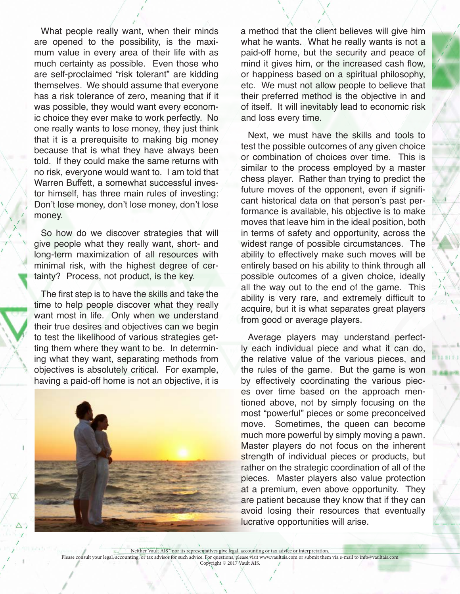What people really want, when their minds are opened to the possibility, is the maximum value in every area of their life with as much certainty as possible. Even those who are self-proclaimed "risk tolerant" are kidding themselves. We should assume that everyone has a risk tolerance of zero, meaning that if it was possible, they would want every economic choice they ever make to work perfectly. No one really wants to lose money, they just think that it is a prerequisite to making big money because that is what they have always been told. If they could make the same returns with no risk, everyone would want to. I am told that Warren Buffett, a somewhat successful investor himself, has three main rules of investing: Don't lose money, don't lose money, don't lose money.

So how do we discover strategies that will give people what they really want, short- and long-term maximization of all resources with minimal risk, with the highest degree of certainty? Process, not product, is the key.

The first step is to have the skills and take the time to help people discover what they really want most in life. Only when we understand their true desires and objectives can we begin to test the likelihood of various strategies getting them where they want to be. In determining what they want, separating methods from objectives is absolutely critical. For example, having a paid-off home is not an objective, it is



 a method that the client believes will give him what he wants. What he really wants is not a paid-off home, but the security and peace of mind it gives him, or the increased cash flow, or happiness based on a spiritual philosophy, etc. We must not allow people to believe that their preferred method is the objective in and of itself. It will inevitably lead to economic risk and loss every time.

Next, we must have the skills and tools to test the possible outcomes of any given choice or combination of choices over time. This is similar to the process employed by a master chess player. Rather than trying to predict the future moves of the opponent, even if significant historical data on that person's past performance is available, his objective is to make moves that leave him in the ideal position, both in terms of safety and opportunity, across the widest range of possible circumstances. The ability to effectively make such moves will be entirely based on his ability to think through all possible outcomes of a given choice, ideally all the way out to the end of the game. This ability is very rare, and extremely difficult to acquire, but it is what separates great players from good or average players.

Average players may understand perfectly each individual piece and what it can do, the relative value of the various pieces, and the rules of the game. But the game is won by effectively coordinating the various pieces over time based on the approach mentioned above, not by simply focusing on the most "powerful" pieces or some preconceived move. Sometimes, the queen can become much more powerful by simply moving a pawn. Master players do not focus on the inherent strength of individual pieces or products, but rather on the strategic coordination of all of the pieces. Master players also value protection at a premium, even above opportunity. They are patient because they know that if they can avoid losing their resources that eventually lucrative opportunities will arise.

Neither Vault AIS™ nor its representatives give legal, accounting or tax advice or interpretation. Please consult your legal, accounting, or tax advisor for such advice. For questions, please visit www.vaultais.com or submit them via e-mail to info@vaultais.com Copyright © 2017 Vault AIS.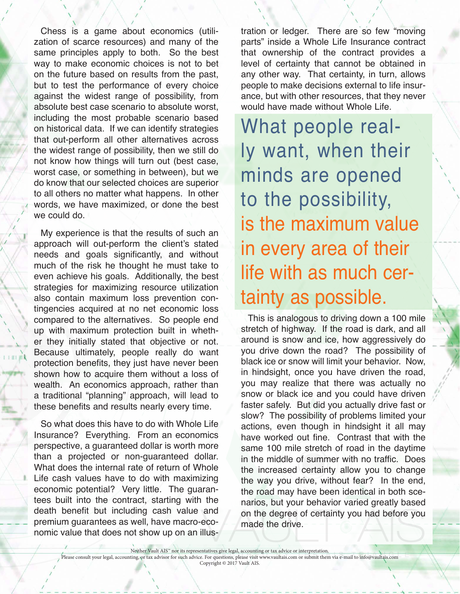Chess is a game about economics (utilization of scarce resources) and many of the same principles apply to both. So the best way to make economic choices is not to bet on the future based on results from the past, but to test the performance of every choice against the widest range of possibility, from absolute best case scenario to absolute worst, including the most probable scenario based on historical data. If we can identify strategies that out-perform all other alternatives across the widest range of possibility, then we still do not know how things will turn out (best case, worst case, or something in between), but we do know that our selected choices are superior to all others no matter what happens. In other words, we have maximized, or done the best we could do.

My experience is that the results of such an approach will out-perform the client's stated needs and goals significantly, and without much of the risk he thought he must take to even achieve his goals. Additionally, the best strategies for maximizing resource utilization also contain maximum loss prevention contingencies acquired at no net economic loss compared to the alternatives. So people end up with maximum protection built in whether they initially stated that objective or not. Because ultimately, people really do want protection benefits, they just have never been shown how to acquire them without a loss of wealth. An economics approach, rather than a traditional "planning" approach, will lead to these benefits and results nearly every time.

So what does this have to do with Whole Life Insurance? Everything. From an economics perspective, a guaranteed dollar is worth more than a projected or non-guaranteed dollar. What does the internal rate of return of Whole Life cash values have to do with maximizing economic potential? Very little. The guarantees built into the contract, starting with the death benefit but including cash value and premium guarantees as well, have macro-economic value that does not show up on an illus-

tration or ledger. There are so few "moving parts" inside a Whole Life Insurance contract that ownership of the contract provides a level of certainty that cannot be obtained in any other way. That certainty, in turn, allows people to make decisions external to life insurance, but with other resources, that they never would have made without Whole Life.

What people really want, when their minds are opened to the possibility, is the maximum value in every area of their life with as much certainty as possible.

This is analogous to driving down a 100 mile stretch of highway. If the road is dark, and all around is snow and ice, how aggressively do you drive down the road? The possibility of black ice or snow will limit your behavior. Now, in hindsight, once you have driven the road, you may realize that there was actually no snow or black ice and you could have driven faster safely. But did you actually drive fast or slow? The possibility of problems limited your actions, even though in hindsight it all may have worked out fine. Contrast that with the same 100 mile stretch of road in the daytime in the middle of summer with no traffic. Does the increased certainty allow you to change the way you drive, without fear? In the end, the road may have been identical in both scenarios, but your behavior varied greatly based on the degree of certainty you had before you made the drive.

Neither Vault AIS™ nor its representatives give legal, accounting or tax advice or interpretation. Please consult your legal, accounting, or tax advisor for such advice. For questions, please visit www.vaultais.com or submit them via e-mail to info@vaultais.com

Copyright © 2017 Vault AIS.